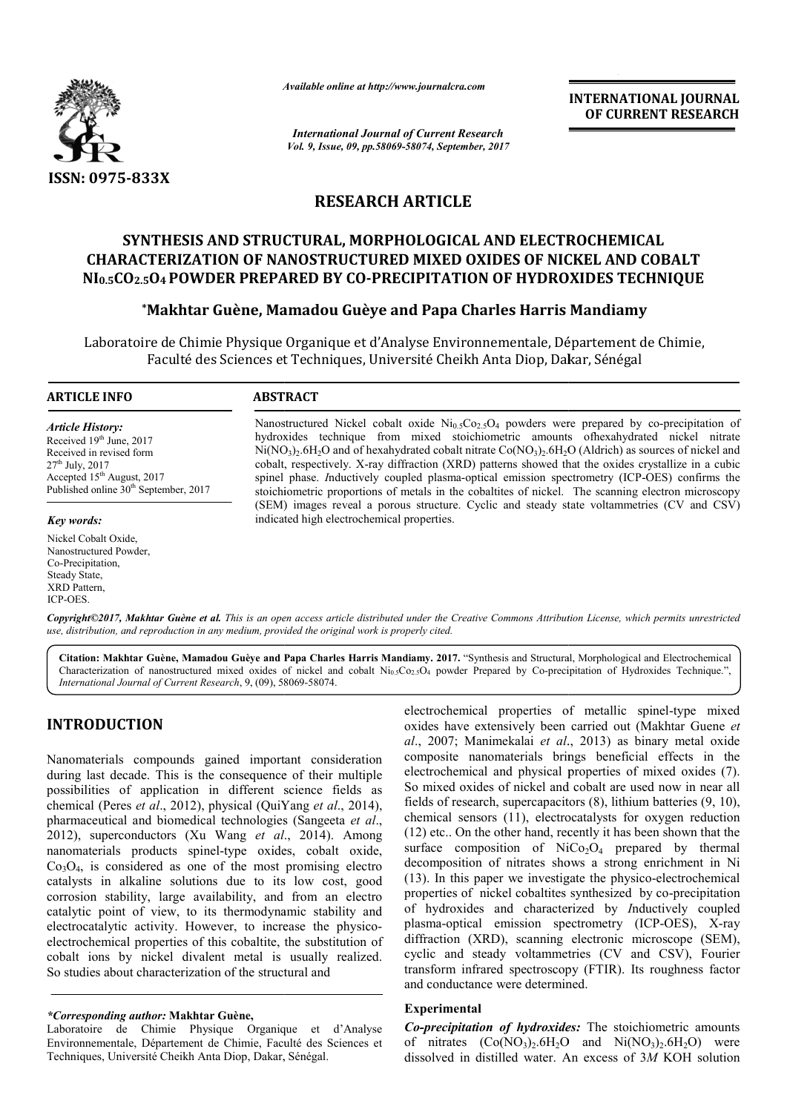

*Available online at http://www.journal http://www.journalcra.com*

*International Journal of Current Research Vol. 9, Issue, 09, pp.58069-58074, September, 2017* **INTERNATIONAL JOURNAL OF CURRENT RESEARCH** 

# **RESEARCH ARTICLE**

# **SYNTHESIS AND STRUCTURAL, MORPHOLOGICAL AND ELECTROCHEMICAL CHARACTERIZATION OF NANOSTRUCTURED MIXED OXIDES OF NICKEL AND COBALT NI0.5CO2.5O4 POWDER PREPARED BY CO CO-PRECIPITATION OF HYDROXIDES TECHNIQUE ETERIZATION OF NANOSTRUCTURED MIXED OXIDES OF NICKEL AND (<br><sub>5</sub>04 POWDER PREPARED BY CO-PRECIPITATION OF HYDROXIDES TEC<br>\*Makhtar Guène, Mamadou Guèye and Papa Charles Harris Mandiamy**

Laboratoire de Chimie Physique Organique et d'Analyse Environnementale, Département de Chimie, re de Chimie Physique Organique et d'Analyse Environnementale, Département<br>Faculté des Sciences et Techniques, Université Cheikh Anta Diop, Dakar, Sénégal

#### **ARTICLE INFO ABSTRACT**

*Article History:* Received 19<sup>th</sup> June, 2017 Received in revised form  $27<sup>th</sup>$  July,  $2017$ Accepted 15<sup>th</sup> August, 2017 Published online 30<sup>th</sup> September, 2017

#### *Key words:*

Nickel Cobalt Oxide, Nanostructured Powder, Co-Precipitation, Steady State, XRD Pattern, ICP-OES.

Nanostructured Nickel cobalt oxide  $Ni<sub>0.5</sub>Co<sub>2.5</sub>O<sub>4</sub>$  powders were prepared by co-precipitation of hydroxides technique from mixed stoichiometric amounts ofhexahydrated nickel nitrate  $Ni(NO<sub>3</sub>)<sub>2</sub>.6H<sub>2</sub>O$  and of hexahydrated cobalt nitrate  $Co(NO<sub>3</sub>)<sub>2</sub>.6H<sub>2</sub>O$  (Aldrich) as sources of nickel and cobalt, respectively. X X-ray diffraction (XRD) patterns showed that the oxides crystallize in a cubic spinel phase. *I*nductively coupled plasma-optical emission spectrometry (ICP stoichiometric proportions of metals in the cobaltites of nickel. The scanning electron microscopy stoichiometric proportions of metals in the cobaltites of nickel. The scanning electron microscopy (SEM) images reveal a porous structure. Cyclic and steady state voltammetries (CV and CSV) indicated high electrochemical properties. hexahydrated cobalt nitrate Co(NO<sub>3</sub>)<sub>2</sub>.6H<sub>2</sub>O (Aldrich) as sources of nickel and ray diffraction (XRD) patterns showed that the oxides crystallize in a cubic ly coupled plasma-optical emission spectrometry (ICP-OES) conf

*Copyright©2017, Makhtar Guène et al. This is an open access article distributed under the Creative Commons Att Attribution License, which ribution License, permits unrestricted use, distribution, and reproduction in any medium, provided the original work is properly cited.*

Citation: Makhtar Guène, Mamadou Guèye and Papa Charles Harris Mandiamy. 2017. "Synthesis and Structural, Morphological and Electrochemical Citation: Makhtar Guène, Mamadou Guèye and Papa Charles Harris Mandiamy. 2017. "Synthesis and Structural, Morphological and Electrochemical<br>Characterization of nanostructured mixed oxides of nickel and cobalt Ni<sub>0.5</sub>Co<sub>2.5</sub> *International Journal of Current Research*, 9, (09), 58069 58069-58074.

# **INTRODUCTION**

Nanomaterials compounds gained important consideration during last decade. This is the consequence of their multiple possibilities of application in different science fields as chemical (Peres *et al.*, 2012), physical (QuiYang *et al.*, 2014), pharmaceutical and biomedical technologies (Sangeeta *et al*., 2012), superconductors (Xu Wang *et al*., 2014 2014). Among nanomaterials products spinel-type oxides, cobalt oxide,  $Co<sub>3</sub>O<sub>4</sub>$ , is considered as one of the most promising electro catalysts in alkaline solutions due to its low cost, good corrosion stability, large availability, and from an electro catalytic point of view, to its thermodynamic stability and electrocatalytic activity. However, to increase the physicoelectrochemical properties of this cobaltite, the substitution of cobalt ions by nickel divalent metal is usually realized. So studies about characterization of the structural and

electrochemical properties of metallic spinel-type mixed oxides have extensively been carried out been carried out (Makhtar Guene *et al*., 2007; Manimekalai *et al*., 2013 2013) as binary metal oxide composite nanomaterials brings beneficial effects in the electrochemical and physical properties of mixed oxides (7). So mixed oxides of nickel and cobalt are used now in near all So mixed oxides of nickel and cobalt are used now in near all fields of research, supercapacitors (8), lithium batteries (9, 10), chemical sensors (11), electrocatalysts for oxygen reduction chemical sensors  $(11)$ , electrocatalysts for oxygen reduction  $(12)$  etc.. On the other hand, recently it has been shown that the surface composition of  $NiCo<sub>2</sub>O<sub>4</sub>$  prepared by thermal decomposition of nitrates shows a strong enrichment in Ni  $(13)$ . In this paper we investigate the physico-electrochemical properties of nickel cobaltites synthesized by co-precipitation of hydroxides and characterized by *Inductively* coupled plasma-optical emission spectrometry (ICP-OES), X-ray diffraction (XRD), scanning electronic microscope (SEM), cyclic and steady voltammetries (CV and CSV), Fourier diffraction (XRD), scanning electronic microscope (SEM), cyclic and steady voltammetries (CV and CSV), Fourier transform infrared spectroscopy (FTIR). Its roughness factor and conductance were determined.

### **Experimental**

*Co-precipitation of hydroxides:* The stoichiometric amounts of nitrates  $(Co(NO<sub>3</sub>)<sub>2</sub> .6H<sub>2</sub>O$  and  $Ni(NO<sub>3</sub>)<sub>2</sub> .6H<sub>2</sub>O)$  were dissolved in distilled water. An excess of 3M KOH solution

*<sup>\*</sup>Corresponding author:* **Makhtar Guène,**

Laboratoire de Chimie Physique Organique et d'Analyse Environnementale, Département de Chimie, Faculté des Sciences et Techniques, Université Cheikh Anta Diop, Dakar, Sénégal Sénégal.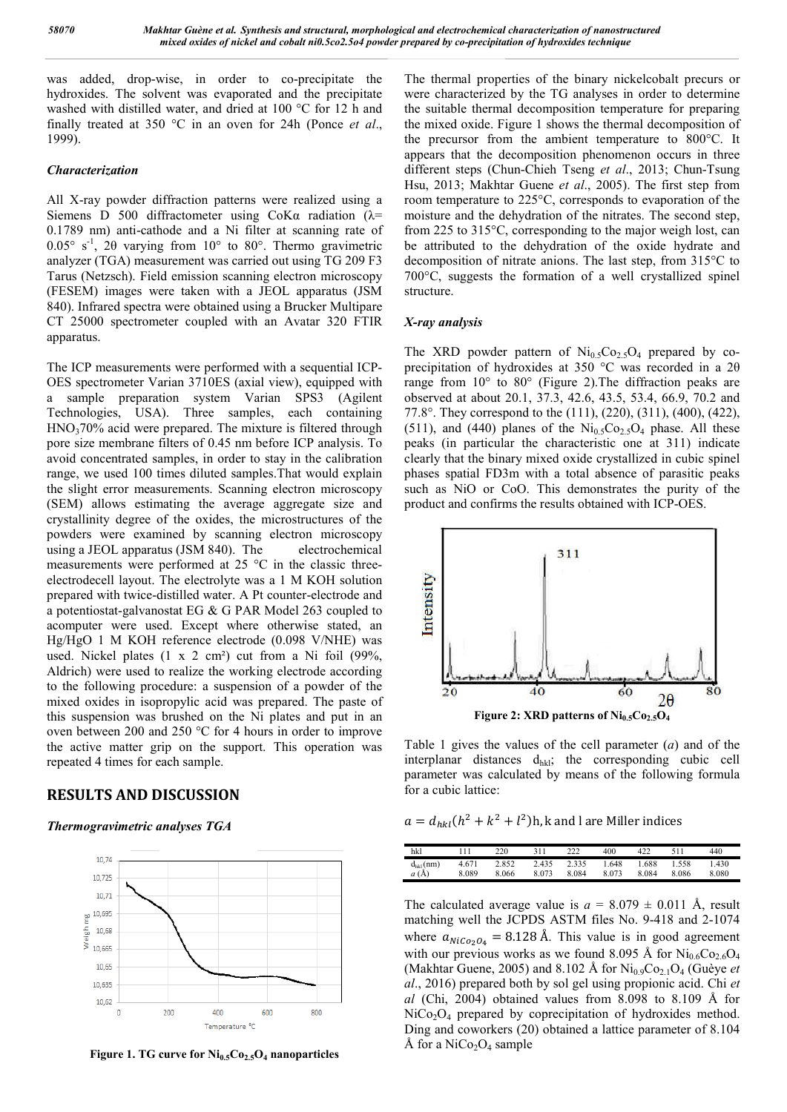was added, drop-wise, in order to co-precipitate the hydroxides. The solvent was evaporated and the precipitate washed with distilled water, and dried at 100 °C for 12 h and finally treated at 350 °C in an oven for 24h (Ponce *et al*., 1999).

#### *Characterization*

All X-ray powder diffraction patterns were realized using a Siemens D 500 diffractometer using  $C_0K\alpha$  radiation ( $\lambda$ = 0.1789 nm) anti-cathode and a Ni filter at scanning rate of  $0.05^{\circ}$  s<sup>-1</sup>, 20 varying from 10° to 80°. Thermo gravimetric analyzer (TGA) measurement was carried out using TG 209 F3 Tarus (Netzsch). Field emission scanning electron microscopy (FESEM) images were taken with a JEOL apparatus (JSM 840). Infrared spectra were obtained using a Brucker Multipare CT 25000 spectrometer coupled with an Avatar 320 FTIR apparatus.

The ICP measurements were performed with a sequential ICP-OES spectrometer Varian 3710ES (axial view), equipped with a sample preparation system Varian SPS3 (Agilent Technologies, USA). Three samples, each containing HNO<sub>3</sub>70% acid were prepared. The mixture is filtered through pore size membrane filters of 0.45 nm before ICP analysis. To avoid concentrated samples, in order to stay in the calibration range, we used 100 times diluted samples.That would explain the slight error measurements. Scanning electron microscopy (SEM) allows estimating the average aggregate size and crystallinity degree of the oxides, the microstructures of the powders were examined by scanning electron microscopy using a JEOL apparatus (JSM 840). The electrochemical measurements were performed at 25 °C in the classic threeelectrodecell layout. The electrolyte was a 1 M KOH solution prepared with twice-distilled water. A Pt counter-electrode and a potentiostat-galvanostat EG & G PAR Model 263 coupled to acomputer were used. Except where otherwise stated, an Hg/HgO 1 M KOH reference electrode (0.098 V/NHE) was used. Nickel plates (1 x 2 cm²) cut from a Ni foil (99%, Aldrich) were used to realize the working electrode according to the following procedure: a suspension of a powder of the mixed oxides in isopropylic acid was prepared. The paste of this suspension was brushed on the Ni plates and put in an oven between 200 and 250 °C for 4 hours in order to improve the active matter grip on the support. This operation was repeated 4 times for each sample.

# **RESULTS AND DISCUSSION**

### *Thermogravimetric analyses TGA*



**Figure 1. TG curve for Ni0.5Co2.5O4 nanoparticles**

The thermal properties of the binary nickelcobalt precurs or were characterized by the TG analyses in order to determine the suitable thermal decomposition temperature for preparing the mixed oxide. Figure 1 shows the thermal decomposition of the precursor from the ambient temperature to 800°C. It appears that the decomposition phenomenon occurs in three different steps (Chun-Chieh Tseng *et al*., 2013; Chun-Tsung Hsu, 2013; Makhtar Guene *et al*., 2005). The first step from room temperature to 225°C, corresponds to evaporation of the moisture and the dehydration of the nitrates. The second step, from 225 to 315°C, corresponding to the major weigh lost, can be attributed to the dehydration of the oxide hydrate and decomposition of nitrate anions. The last step, from 315°C to 700°C, suggests the formation of a well crystallized spinel structure.

#### *X-ray analysis*

The XRD powder pattern of  $\text{Ni}_{0.5}\text{Co}_{2.5}\text{O}_4$  prepared by coprecipitation of hydroxides at 350 °C was recorded in a 2θ range from 10° to 80° (Figure 2).The diffraction peaks are observed at about 20.1, 37.3, 42.6, 43.5, 53.4, 66.9, 70.2 and 77.8°. They correspond to the (111), (220), (311), (400), (422), (511), and (440) planes of the  $Ni<sub>0.5</sub>Co<sub>2.5</sub>O<sub>4</sub>$  phase. All these peaks (in particular the characteristic one at 311) indicate clearly that the binary mixed oxide crystallized in cubic spinel phases spatial FD3m with a total absence of parasitic peaks such as NiO or CoO. This demonstrates the purity of the product and confirms the results obtained with ICP-OES.



Table 1 gives the values of the cell parameter (*a*) and of the interplanar distances  $d_{hkl}$ ; the corresponding cubic cell parameter was calculated by means of the following formula for a cubic lattice:

 $a = d_{hkl} (h^2 + k^2 + l^2)$ h, k and l are Miller indices

| hkl           | 11    | 220   | 311   | າາາ   | 400   |       | 511   | 440   |
|---------------|-------|-------|-------|-------|-------|-------|-------|-------|
| $d_{hkl}(nm)$ | 4.671 | 2.852 | 2.435 | 2.335 | .648  | .688  | 1.558 | .430  |
| a(A)          | 8.089 | 8.066 | 8.073 | 8.084 | 8.073 | 8.084 | 8.086 | 8.080 |

The calculated average value is  $a = 8.079 \pm 0.011$  Å, result matching well the JCPDS ASTM files No. 9-418 and 2-1074 where  $a_{\text{NiCo}_2O_4} = 8.128$  Å. This value is in good agreement with our previous works as we found 8.095 Å for  $Ni<sub>0.6</sub>Co<sub>2.6</sub>O<sub>4</sub>$ (Makhtar Guene, 2005) and 8.102 Å for  $\text{Ni}_{0.9}\text{Co}_{2.1}\text{O}_4$  (Guèye *et al*., 2016) prepared both by sol gel using propionic acid. Chi *et al* (Chi, 2004) obtained values from 8.098 to 8.109 Å for NiCo<sub>2</sub>O<sub>4</sub> prepared by coprecipitation of hydroxides method. Ding and coworkers (20) obtained a lattice parameter of 8.104 Å for a  $NiCo<sub>2</sub>O<sub>4</sub>$  sample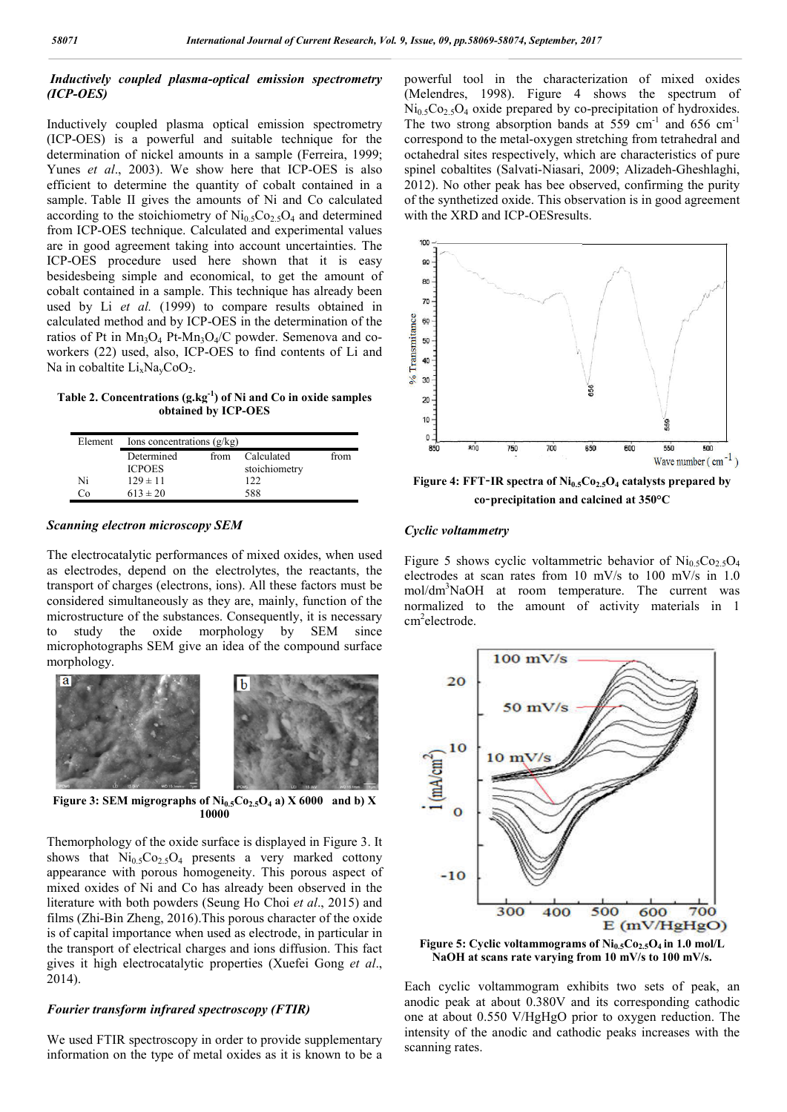# *Inductively coupled plasma-optical emission spectrometry (ICP-OES)*

Inductively coupled plasma optical emission spectrometry (ICP-OES) is a powerful and suitable technique for the determination of nickel amounts in a sample (Ferreira, 1999; Yunes *et al*., 2003). We show here that ICP-OES is also efficient to determine the quantity of cobalt contained in a sample. Table II gives the amounts of Ni and Co calculated according to the stoichiometry of  $Ni<sub>0.5</sub>Co<sub>2.5</sub>O<sub>4</sub>$  and determined from ICP-OES technique. Calculated and experimental values are in good agreement taking into account uncertainties. The ICP-OES procedure used here shown that it is easy besidesbeing simple and economical, to get the amount of cobalt contained in a sample. This technique has already been used by Li *et al.* (1999) to compare results obtained in calculated method and by ICP-OES in the determination of the ratios of Pt in  $Mn_3O_4$  Pt-Mn<sub>3</sub>O<sub>4</sub>/C powder. Semenova and coworkers (22) used, also, ICP-OES to find contents of Li and Na in cobaltite  $Li_xNa_xCoO_2$ .

#### **Table 2. Concentrations (g.kg-1 ) of Ni and Co in oxide samples obtained by ICP-OES**

| Element | Ions concentrations $(g/kg)$ |      |                      |      |  |  |  |  |  |
|---------|------------------------------|------|----------------------|------|--|--|--|--|--|
|         | Determined<br><b>ICPOES</b>  | from | Calculated           | from |  |  |  |  |  |
| Ni      | $129 \pm 11$                 |      | stoichiometry<br>122 |      |  |  |  |  |  |
| ്റ      | $613 \pm 20$                 |      | 588                  |      |  |  |  |  |  |

#### *Scanning electron microscopy SEM*

The electrocatalytic performances of mixed oxides, when used as electrodes, depend on the electrolytes, the reactants, the transport of charges (electrons, ions). All these factors must be considered simultaneously as they are, mainly, function of the microstructure of the substances. Consequently, it is necessary to study the oxide morphology by SEM since microphotographs SEM give an idea of the compound surface morphology.



**Figure 3: SEM migrographs of**  $Ni_{0.5}Co_{2.5}O_4$  **a) X 6000 and b) X 10000**

Themorphology of the oxide surface is displayed in Figure 3. It shows that  $Ni<sub>0.5</sub>Co<sub>2.5</sub>O<sub>4</sub>$  presents a very marked cottony appearance with porous homogeneity. This porous aspect of mixed oxides of Ni and Co has already been observed in the literature with both powders (Seung Ho Choi *et al*., 2015) and films (Zhi-Bin Zheng, 2016).This porous character of the oxide is of capital importance when used as electrode, in particular in the transport of electrical charges and ions diffusion. This fact gives it high electrocatalytic properties (Xuefei Gong *et al*., 2014).

#### *Fourier transform infrared spectroscopy (FTIR)*

We used FTIR spectroscopy in order to provide supplementary information on the type of metal oxides as it is known to be a

powerful tool in the characterization of mixed oxides (Melendres, 1998). Figure 4 shows the spectrum of  $Ni<sub>0.5</sub>Co<sub>2.5</sub>O<sub>4</sub>$  oxide prepared by co-precipitation of hydroxides. The two strong absorption bands at  $559 \text{ cm}^{-1}$  and  $656 \text{ cm}^{-1}$ correspond to the metal-oxygen stretching from tetrahedral and octahedral sites respectively, which are characteristics of pure spinel cobaltites (Salvati-Niasari, 2009; Alizadeh-Gheshlaghi, 2012). No other peak has bee observed, confirming the purity of the synthetized oxide. This observation is in good agreement with the XRD and ICP-OESresults.



**Figure 4: FFT-IR spectra of Ni<sub>0.5</sub>Co<sub>2.5</sub>O<sub>4</sub> catalysts prepared by co**‐**precipitation and calcined at 350°C**

#### *Cyclic voltammetry*

Figure 5 shows cyclic voltammetric behavior of  $Ni<sub>0.5</sub>Co<sub>2.5</sub>O<sub>4</sub>$ electrodes at scan rates from 10 mV/s to 100 mV/s in 1.0 mol/dm<sup>3</sup>NaOH at room temperature. The current was normalized to the amount of activity materials in 1 cm<sup>2</sup>electrode.



Figure 5: Cyclic voltammograms of Ni<sub>0.5</sub>Co<sub>2.5</sub>O<sub>4</sub> in 1.0 mol/L **NaOH at scans rate varying from 10 mV/s to 100 mV/s.**

Each cyclic voltammogram exhibits two sets of peak, an anodic peak at about 0.380V and its corresponding cathodic one at about 0.550 V/HgHgO prior to oxygen reduction. The intensity of the anodic and cathodic peaks increases with the scanning rates.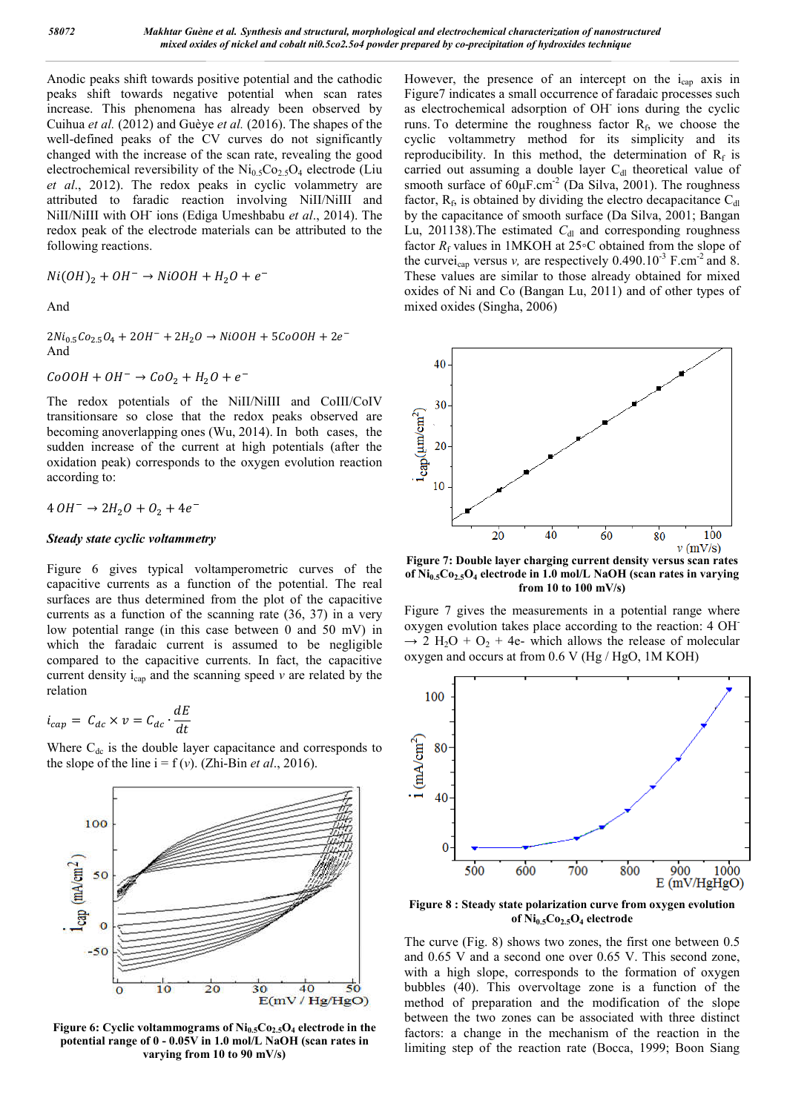Anodic peaks shift towards positive potential and the cathodic peaks shift towards negative potential when scan rates increase. This phenomena has already been observed by Cuihua *et al.* (2012) and Guèye *et al.* (2016). The shapes of the well-defined peaks of the CV curves do not significantly changed with the increase of the scan rate, revealing the good electrochemical reversibility of the  $Ni<sub>0.5</sub>Co<sub>2.5</sub>O<sub>4</sub>$  electrode (Liu *et al*., 2012). The redox peaks in cyclic volammetry are attributed to faradic reaction involving NiII/NiIII and NiII/NiIII with OH**-** ions (Ediga Umeshbabu *et al*., 2014). The redox peak of the electrode materials can be attributed to the following reactions.

$$
Ni(OH)_2 + OH^- \rightarrow NiOOH + H_2O + e^-
$$

And

 $2Ni_{0.5}Co_{2.5}O_4 + 2OH^- + 2H_2O \rightarrow NiOOH + 5CoOOH + 2e^-$ And

 $CoOOH + OH^{-} \rightarrow CoO<sub>2</sub> + H<sub>2</sub>O + e^{-}$ 

The redox potentials of the NiII/NiIII and CoIII/CoIV transitionsare so close that the redox peaks observed are becoming anoverlapping ones (Wu, 2014). In both cases, the sudden increase of the current at high potentials (after the oxidation peak) corresponds to the oxygen evolution reaction according to:

 $4 \cdot OH^- \rightarrow 2H_2O + O_2 + 4e^-$ 

#### *Steady state cyclic voltammetry*

Figure 6 gives typical voltamperometric curves of the capacitive currents as a function of the potential. The real surfaces are thus determined from the plot of the capacitive currents as a function of the scanning rate (36, 37) in a very low potential range (in this case between 0 and 50 mV) in which the faradaic current is assumed to be negligible compared to the capacitive currents. In fact, the capacitive current density  $i_{cap}$  and the scanning speed  $\nu$  are related by the relation

$$
i_{cap} = C_{dc} \times v = C_{dc} \cdot \frac{dE}{dt}
$$

Where  $C_{dc}$  is the double layer capacitance and corresponds to the slope of the line  $i = f(v)$ . (Zhi-Bin *et al.*, 2016).



Figure 6: Cyclic voltammograms of Ni<sub>0.5</sub>Co<sub>2.5</sub>O<sub>4</sub> electrode in the **potential range of 0 - 0.05V in 1.0 mol/L NaOH (scan rates in varying from 10 to 90 mV/s)**

However, the presence of an intercept on the  $i_{cap}$  axis in Figure7 indicates a small occurrence of faradaic processes such as electrochemical adsorption of OH- ions during the cyclic runs. To determine the roughness factor  $R_f$ , we choose the cyclic voltammetry method for its simplicity and its reproducibility. In this method, the determination of  $R_f$  is carried out assuming a double layer  $C<sub>dl</sub>$  theoretical value of smooth surface of  $60 \mu$ F.cm<sup>-2</sup> (Da Silva, 2001). The roughness factor,  $R_f$ , is obtained by dividing the electro decapacitance  $C_{dl}$ by the capacitance of smooth surface (Da Silva, 2001; Bangan Lu, 201138). The estimated  $C_{\rm dl}$  and corresponding roughness factor  $R_f$  values in 1MKOH at 25◦C obtained from the slope of the curvei<sub>cap</sub> versus *v*, are respectively  $0.490.10^{-3}$  F.cm<sup>-2</sup> and 8. These values are similar to those already obtained for mixed oxides of Ni and Co (Bangan Lu, 2011) and of other types of mixed oxides (Singha, 2006)



**Figure 7: Double layer charging current density versus scan rates of Ni0.5Co2.5O4 electrode in 1.0 mol/L NaOH (scan rates in varying from 10 to 100 mV/s)**

Figure 7 gives the measurements in a potential range where oxygen evolution takes place according to the reaction: 4 OH-  $\rightarrow$  2 H<sub>2</sub>O + O<sub>2</sub> + 4e- which allows the release of molecular oxygen and occurs at from 0.6 V (Hg / HgO, 1M KOH)



**Figure 8 : Steady state polarization curve from oxygen evolution of Ni0.5Co2.5O4 electrode**

The curve (Fig. 8) shows two zones, the first one between 0.5 and 0.65 V and a second one over 0.65 V. This second zone, with a high slope, corresponds to the formation of oxygen bubbles (40). This overvoltage zone is a function of the method of preparation and the modification of the slope between the two zones can be associated with three distinct factors: a change in the mechanism of the reaction in the limiting step of the reaction rate (Bocca, 1999; Boon Siang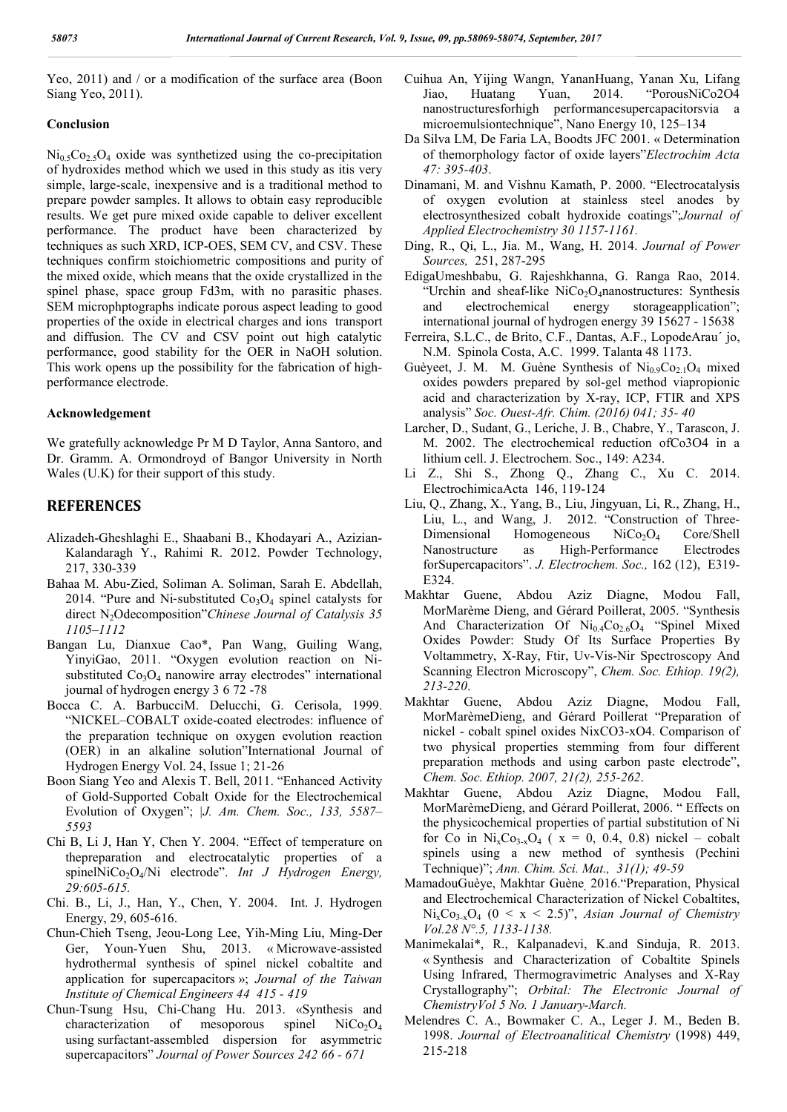Yeo, 2011) and / or a modification of the surface area (Boon Siang Yeo, 2011).

#### **Conclusion**

 $Ni<sub>0.5</sub>Co<sub>2.5</sub>O<sub>4</sub>$  oxide was synthetized using the co-precipitation of hydroxides method which we used in this study as itis very simple, large-scale, inexpensive and is a traditional method to prepare powder samples. It allows to obtain easy reproducible results. We get pure mixed oxide capable to deliver excellent performance. The product have been characterized by techniques as such XRD, ICP-OES, SEM CV, and CSV. These techniques confirm stoichiometric compositions and purity of the mixed oxide, which means that the oxide crystallized in the spinel phase, space group Fd3m, with no parasitic phases. SEM microphptographs indicate porous aspect leading to good properties of the oxide in electrical charges and ions transport and diffusion. The CV and CSV point out high catalytic performance, good stability for the OER in NaOH solution. This work opens up the possibility for the fabrication of highperformance electrode.

#### **Acknowledgement**

We gratefully acknowledge Pr M D Taylor, Anna Santoro, and Dr. Gramm. A. Ormondroyd of Bangor University in North Wales (U.K) for their support of this study.

## **REFERENCES**

- Alizadeh-Gheshlaghi E., Shaabani B., Khodayari A., Azizian-Kalandaragh Y., Rahimi R. 2012. Powder Technology, 217, 330-339
- Bahaa M. Abu‐Zied, Soliman A. Soliman, Sarah E. Abdellah, 2014. "Pure and Ni-substituted  $Co<sub>3</sub>O<sub>4</sub>$  spinel catalysts for direct N2Odecomposition"*Chinese Journal of Catalysis 35 1105–1112*
- Bangan Lu, Dianxue Cao\*, Pan Wang, Guiling Wang, YinyiGao, 2011. "Oxygen evolution reaction on Nisubstituted  $Co<sub>3</sub>O<sub>4</sub>$  nanowire array electrodes" international journal of hydrogen energy 3 6 72 -78
- Bocca C. A. BarbucciM. Delucchi, G. Cerisola, 1999. "NICKEL–COBALT oxide-coated electrodes: influence of the preparation technique on oxygen evolution reaction (OER) in an alkaline solution"International Journal of Hydrogen Energy Vol. 24, Issue 1; 21-26
- Boon Siang Yeo and Alexis T. Bell, 2011. "Enhanced Activity of Gold-Supported Cobalt Oxide for the Electrochemical Evolution of Oxygen"; *|J. Am. Chem. Soc., 133, 5587– 5593*
- Chi B, Li J, Han Y, Chen Y. 2004. "Effect of temperature on thepreparation and electrocatalytic properties of a spinelNiCo<sub>2</sub>O<sub>4</sub>/Ni electrode". *Int J Hydrogen Energy*, *29:605-615.*
- Chi. B., Li, J., Han, Y., Chen, Y. 2004. Int. J. Hydrogen Energy, 29, 605-616.
- Chun-Chieh Tseng, Jeou-Long Lee, Yih-Ming Liu, Ming-Der Ger, Youn-Yuen Shu, 2013. « Microwave-assisted hydrothermal synthesis of spinel nickel cobaltite and application for supercapacitors »; *Journal of the Taiwan Institute of Chemical Engineers 44 415 - 419*
- Chun-Tsung Hsu, Chi-Chang Hu. 2013. «Synthesis and characterization of mesoporous spinel NiCo<sub>2</sub>O<sub>4</sub> characterization of mesoporous spinel  $NiCo<sub>2</sub>O<sub>4</sub>$ using surfactant-assembled dispersion for asymmetric supercapacitors" *Journal of Power Sources 242 66 - 671*
- Cuihua An, Yijing Wangn, YananHuang, Yanan Xu, Lifang Jiao, Huatang Yuan, 2014. "PorousNiCo2O4 nanostructuresforhigh performancesupercapacitorsvia a microemulsiontechnique", Nano Energy 10, 125–134
- Da Silva LM, De Faria LA, Boodts JFC 2001. « Determination of themorphology factor of oxide layers"*Electrochim Acta 47: 395-403*.
- Dinamani, M. and Vishnu Kamath, P. 2000. "Electrocatalysis of oxygen evolution at stainless steel anodes by electrosynthesized cobalt hydroxide coatings";*Journal of Applied Electrochemistry 30 1157-1161.*
- Ding, R., Qi, L., Jia. M., Wang, H. 2014. *Journal of Power Sources,* 251, 287-295
- EdigaUmeshbabu, G. Rajeshkhanna, G. Ranga Rao, 2014. "Urchin and sheaf-like NiCo<sub>2</sub>O<sub>4</sub>nanostructures: Synthesis and electrochemical energy storageapplication"; international journal of hydrogen energy 39 15627 - 15638
- Ferreira, S.L.C., de Brito, C.F., Dantas, A.F., LopodeArau´ jo, N.M. Spinola Costa, A.C. 1999. Talanta 48 1173.
- Guèyeet, J. M. M. Guène Synthesis of  $Ni<sub>0.9</sub>Co<sub>2.1</sub>O<sub>4</sub> mixed$ oxides powders prepared by sol-gel method viapropionic acid and characterization by X-ray, ICP, FTIR and XPS analysis" *Soc. Ouest-Afr. Chim. (2016) 041; 35- 40*
- Larcher, D., Sudant, G., Leriche, J. B., Chabre, Y., Tarascon, J. M. 2002. The electrochemical reduction ofCo3O4 in a lithium cell. J. Electrochem. Soc., 149: A234.
- Li Z., Shi S., Zhong Q., Zhang C., Xu C. 2014. ElectrochimicaActa 146, 119-124
- Liu, Q., Zhang, X., Yang, B., Liu, Jingyuan, Li, R., Zhang, H., Liu, L., and Wang, J. 2012. "Construction of Three-Dimensional Homogeneous NiCo<sub>2</sub>O<sub>4</sub> Core/Shell<br>Nanostructure as High-Performance Electrodes as High-Performance forSupercapacitors". *J. Electrochem. Soc.,* 162 (12), E319- E324.
- Makhtar Guene, Abdou Aziz Diagne, Modou Fall, MorMarème Dieng, and Gérard Poillerat, 2005. "Synthesis And Characterization Of  $Ni<sub>0.4</sub>Co<sub>2.6</sub>O<sub>4</sub>$  "Spinel Mixed" Oxides Powder: Study Of Its Surface Properties By Voltammetry, X-Ray, Ftir, Uv-Vis-Nir Spectroscopy And Scanning Electron Microscopy", *Chem. Soc. Ethiop. 19(2), 213-220*.
- Makhtar Guene, Abdou Aziz Diagne, Modou Fall, MorMarèmeDieng, and Gérard Poillerat "Preparation of nickel - cobalt spinel oxides NixCO3-xO4. Comparison of two physical properties stemming from four different preparation methods and using carbon paste electrode", *Chem. Soc. Ethiop. 2007, 21(2), 255-262*.
- Makhtar Guene, Abdou Aziz Diagne, Modou Fall, MorMarèmeDieng, and Gérard Poillerat, 2006. " Effects on the physicochemical properties of partial substitution of Ni for Co in  $Ni_xCo_{3-x}O_4$  (  $x = 0, 0.4, 0.8$ ) nickel – cobalt spinels using a new method of synthesis (Pechini Technique)"; *Ann. Chim. Sci. Mat., 31(1); 49-59*
- MamadouGuèye, Makhtar Guène, 2016."Preparation, Physical and Electrochemical Characterization of Nickel Cobaltites,  $Ni<sub>x</sub>Co<sub>3-x</sub>O<sub>4</sub>$  (0 < x < 2.5)", *Asian Journal of Chemistry Vol.28 N°.5, 1133-1138.*
- Manimekalai\*, R., Kalpanadevi, K.and Sinduja, R. 2013. « Synthesis and Characterization of Cobaltite Spinels Using Infrared, Thermogravimetric Analyses and X-Ray Crystallography"; *Orbital: The Electronic Journal of ChemistryVol 5 No. 1 January-March.*
- Melendres C. A., Bowmaker C. A., Leger J. M., Beden B. 1998. *Journal of Electroanalitical Chemistry* (1998) 449, 215-218